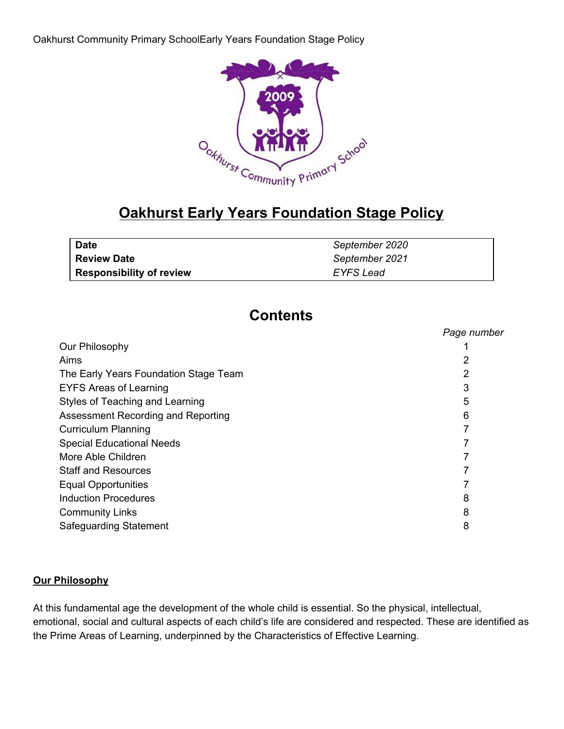

# **Oakhurst Early Years Foundation Stage Policy**

| <b>Date</b>                     | September 2020   |
|---------------------------------|------------------|
| <b>Review Date</b>              | September 2021   |
| <b>Responsibility of review</b> | <b>EYFS Lead</b> |

# **Contents**

|                                       | Page number |
|---------------------------------------|-------------|
| Our Philosophy                        |             |
| Aims                                  | 2           |
| The Early Years Foundation Stage Team | 2           |
| <b>EYFS Areas of Learning</b>         | 3           |
| Styles of Teaching and Learning       | 5           |
| Assessment Recording and Reporting    | 6           |
| <b>Curriculum Planning</b>            |             |
| <b>Special Educational Needs</b>      |             |
| More Able Children                    |             |
| <b>Staff and Resources</b>            |             |
| <b>Equal Opportunities</b>            |             |
| <b>Induction Procedures</b>           | 8           |
| <b>Community Links</b>                | 8           |
| Safeguarding Statement                | 8           |
|                                       |             |

## **Our Philosophy**

At this fundamental age the development of the whole child is essential. So the physical, intellectual, emotional, social and cultural aspects of each child's life are considered and respected. These are identified as the Prime Areas of Learning, underpinned by the Characteristics of Effective Learning.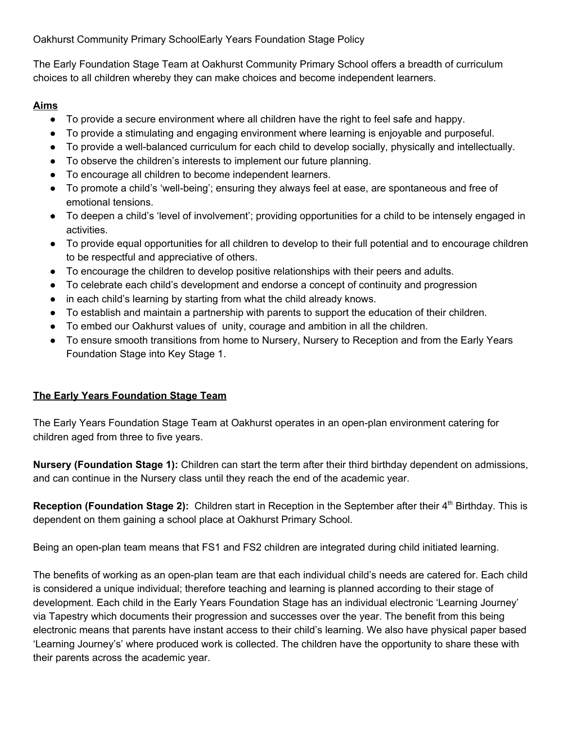The Early Foundation Stage Team at Oakhurst Community Primary School offers a breadth of curriculum choices to all children whereby they can make choices and become independent learners.

# **Aims**

- To provide a secure environment where all children have the right to feel safe and happy.
- To provide a stimulating and engaging environment where learning is enjoyable and purposeful.
- To provide a well-balanced curriculum for each child to develop socially, physically and intellectually.
- To observe the children's interests to implement our future planning.
- To encourage all children to become independent learners.
- To promote a child's 'well-being'; ensuring they always feel at ease, are spontaneous and free of emotional tensions.
- To deepen a child's 'level of involvement'; providing opportunities for a child to be intensely engaged in activities.
- To provide equal opportunities for all children to develop to their full potential and to encourage children to be respectful and appreciative of others.
- To encourage the children to develop positive relationships with their peers and adults.
- To celebrate each child's development and endorse a concept of continuity and progression
- in each child's learning by starting from what the child already knows.
- To establish and maintain a partnership with parents to support the education of their children.
- To embed our Oakhurst values of unity, courage and ambition in all the children.
- To ensure smooth transitions from home to Nursery, Nursery to Reception and from the Early Years Foundation Stage into Key Stage 1.

# **The Early Years Foundation Stage Team**

The Early Years Foundation Stage Team at Oakhurst operates in an open-plan environment catering for children aged from three to five years.

**Nursery (Foundation Stage 1):** Children can start the term after their third birthday dependent on admissions, and can continue in the Nursery class until they reach the end of the academic year.

Reception (Foundation Stage 2): Children start in Reception in the September after their 4<sup>th</sup> Birthday. This is dependent on them gaining a school place at Oakhurst Primary School.

Being an open-plan team means that FS1 and FS2 children are integrated during child initiated learning.

The benefits of working as an open-plan team are that each individual child's needs are catered for. Each child is considered a unique individual; therefore teaching and learning is planned according to their stage of development. Each child in the Early Years Foundation Stage has an individual electronic 'Learning Journey' via Tapestry which documents their progression and successes over the year. The benefit from this being electronic means that parents have instant access to their child's learning. We also have physical paper based 'Learning Journey's' where produced work is collected. The children have the opportunity to share these with their parents across the academic year.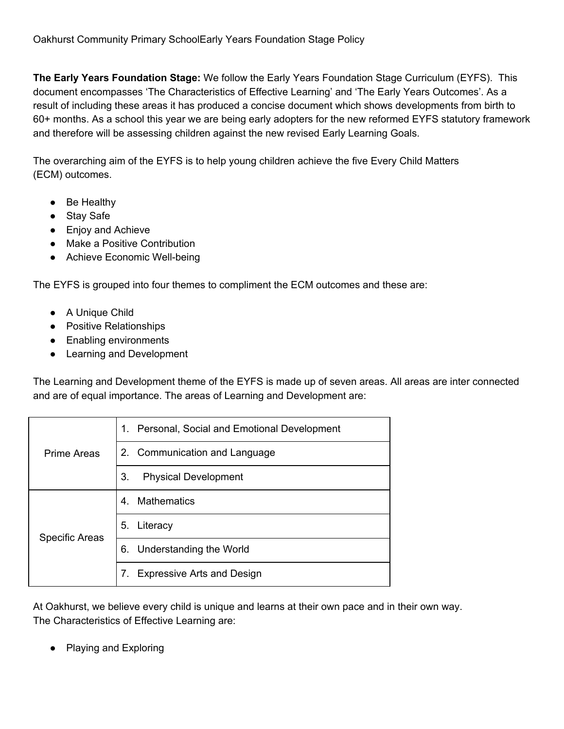**The Early Years Foundation Stage:** We follow the Early Years Foundation Stage Curriculum (EYFS). This document encompasses 'The Characteristics of Effective Learning' and 'The Early Years Outcomes'. As a result of including these areas it has produced a concise document which shows developments from birth to 60+ months. As a school this year we are being early adopters for the new reformed EYFS statutory framework and therefore will be assessing children against the new revised Early Learning Goals.

The overarching aim of the EYFS is to help young children achieve the five Every Child Matters (ECM) outcomes.

- Be Healthy
- Stay Safe
- Enjoy and Achieve
- Make a Positive Contribution
- Achieve Economic Well-being

The EYFS is grouped into four themes to compliment the ECM outcomes and these are:

- A Unique Child
- Positive Relationships
- Enabling environments
- Learning and Development

The Learning and Development theme of the EYFS is made up of seven areas. All areas are inter connected and are of equal importance. The areas of Learning and Development are:

| Prime Areas           | Personal, Social and Emotional Development<br>1. |
|-----------------------|--------------------------------------------------|
|                       | 2. Communication and Language                    |
|                       | 3.<br><b>Physical Development</b>                |
| <b>Specific Areas</b> | <b>Mathematics</b><br>4.                         |
|                       | 5. Literacy                                      |
|                       | 6. Understanding the World                       |
|                       | <b>Expressive Arts and Design</b>                |

At Oakhurst, we believe every child is unique and learns at their own pace and in their own way. The Characteristics of Effective Learning are:

Playing and Exploring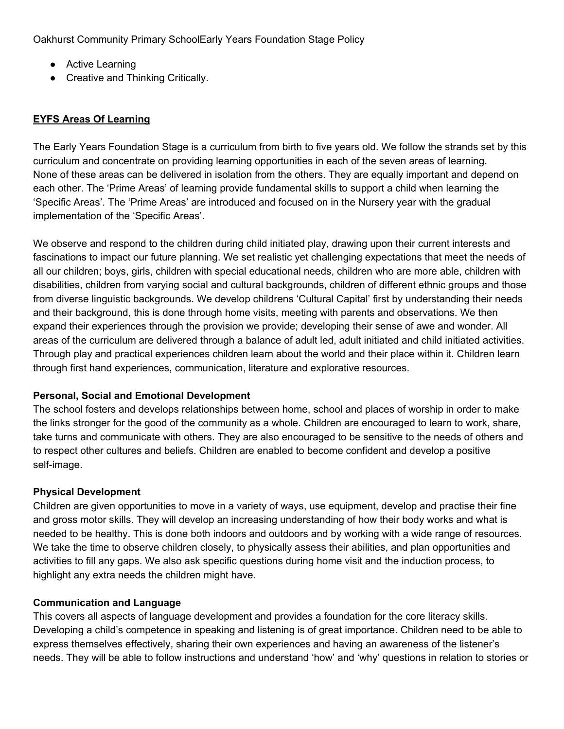- Active Learning
- Creative and Thinking Critically.

# **EYFS Areas Of Learning**

The Early Years Foundation Stage is a curriculum from birth to five years old. We follow the strands set by this curriculum and concentrate on providing learning opportunities in each of the seven areas of learning. None of these areas can be delivered in isolation from the others. They are equally important and depend on each other. The 'Prime Areas' of learning provide fundamental skills to support a child when learning the 'Specific Areas'. The 'Prime Areas' are introduced and focused on in the Nursery year with the gradual implementation of the 'Specific Areas'.

We observe and respond to the children during child initiated play, drawing upon their current interests and fascinations to impact our future planning. We set realistic yet challenging expectations that meet the needs of all our children; boys, girls, children with special educational needs, children who are more able, children with disabilities, children from varying social and cultural backgrounds, children of different ethnic groups and those from diverse linguistic backgrounds. We develop childrens 'Cultural Capital' first by understanding their needs and their background, this is done through home visits, meeting with parents and observations. We then expand their experiences through the provision we provide; developing their sense of awe and wonder. All areas of the curriculum are delivered through a balance of adult led, adult initiated and child initiated activities. Through play and practical experiences children learn about the world and their place within it. Children learn through first hand experiences, communication, literature and explorative resources.

## **Personal, Social and Emotional Development**

The school fosters and develops relationships between home, school and places of worship in order to make the links stronger for the good of the community as a whole. Children are encouraged to learn to work, share, take turns and communicate with others. They are also encouraged to be sensitive to the needs of others and to respect other cultures and beliefs. Children are enabled to become confident and develop a positive self-image.

## **Physical Development**

Children are given opportunities to move in a variety of ways, use equipment, develop and practise their fine and gross motor skills. They will develop an increasing understanding of how their body works and what is needed to be healthy. This is done both indoors and outdoors and by working with a wide range of resources. We take the time to observe children closely, to physically assess their abilities, and plan opportunities and activities to fill any gaps. We also ask specific questions during home visit and the induction process, to highlight any extra needs the children might have.

## **Communication and Language**

This covers all aspects of language development and provides a foundation for the core literacy skills. Developing a child's competence in speaking and listening is of great importance. Children need to be able to express themselves effectively, sharing their own experiences and having an awareness of the listener's needs. They will be able to follow instructions and understand 'how' and 'why' questions in relation to stories or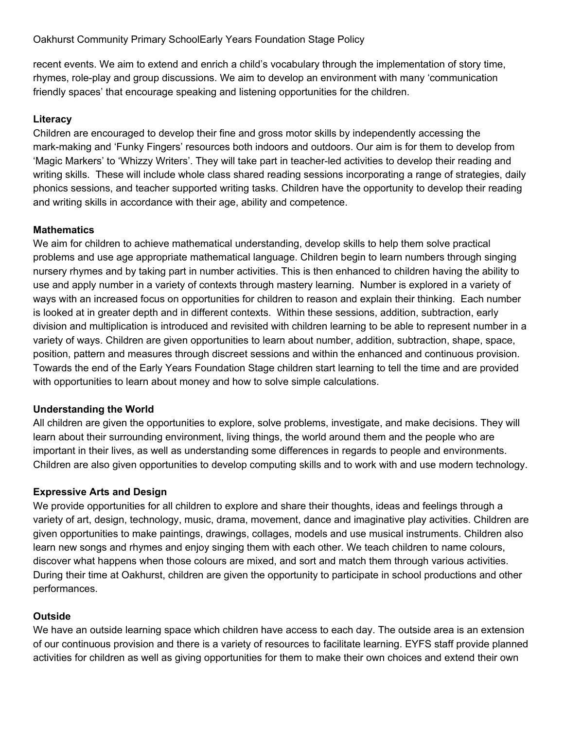recent events. We aim to extend and enrich a child's vocabulary through the implementation of story time, rhymes, role-play and group discussions. We aim to develop an environment with many 'communication friendly spaces' that encourage speaking and listening opportunities for the children.

# **Literacy**

Children are encouraged to develop their fine and gross motor skills by independently accessing the mark-making and 'Funky Fingers' resources both indoors and outdoors. Our aim is for them to develop from 'Magic Markers' to 'Whizzy Writers'. They will take part in teacher-led activities to develop their reading and writing skills. These will include whole class shared reading sessions incorporating a range of strategies, daily phonics sessions, and teacher supported writing tasks. Children have the opportunity to develop their reading and writing skills in accordance with their age, ability and competence.

# **Mathematics**

We aim for children to achieve mathematical understanding, develop skills to help them solve practical problems and use age appropriate mathematical language. Children begin to learn numbers through singing nursery rhymes and by taking part in number activities. This is then enhanced to children having the ability to use and apply number in a variety of contexts through mastery learning. Number is explored in a variety of ways with an increased focus on opportunities for children to reason and explain their thinking. Each number is looked at in greater depth and in different contexts. Within these sessions, addition, subtraction, early division and multiplication is introduced and revisited with children learning to be able to represent number in a variety of ways. Children are given opportunities to learn about number, addition, subtraction, shape, space, position, pattern and measures through discreet sessions and within the enhanced and continuous provision. Towards the end of the Early Years Foundation Stage children start learning to tell the time and are provided with opportunities to learn about money and how to solve simple calculations.

# **Understanding the World**

All children are given the opportunities to explore, solve problems, investigate, and make decisions. They will learn about their surrounding environment, living things, the world around them and the people who are important in their lives, as well as understanding some differences in regards to people and environments. Children are also given opportunities to develop computing skills and to work with and use modern technology.

# **Expressive Arts and Design**

We provide opportunities for all children to explore and share their thoughts, ideas and feelings through a variety of art, design, technology, music, drama, movement, dance and imaginative play activities. Children are given opportunities to make paintings, drawings, collages, models and use musical instruments. Children also learn new songs and rhymes and enjoy singing them with each other. We teach children to name colours, discover what happens when those colours are mixed, and sort and match them through various activities. During their time at Oakhurst, children are given the opportunity to participate in school productions and other performances.

# **Outside**

We have an outside learning space which children have access to each day. The outside area is an extension of our continuous provision and there is a variety of resources to facilitate learning. EYFS staff provide planned activities for children as well as giving opportunities for them to make their own choices and extend their own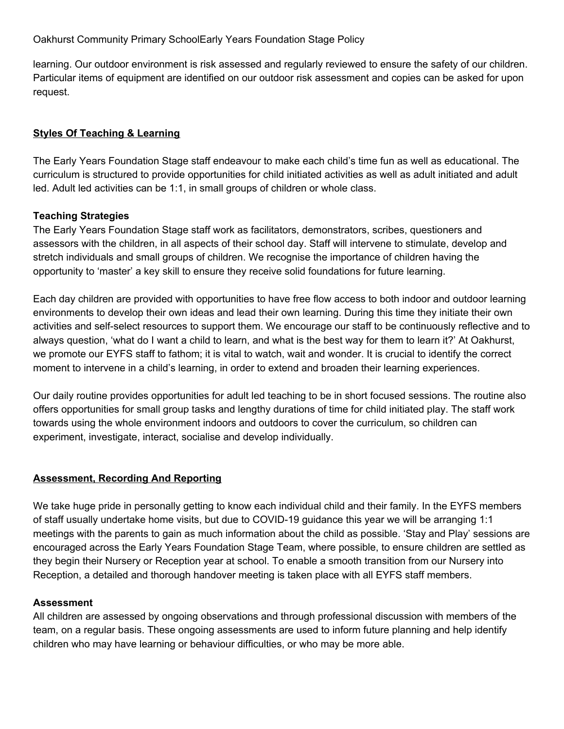learning. Our outdoor environment is risk assessed and regularly reviewed to ensure the safety of our children. Particular items of equipment are identified on our outdoor risk assessment and copies can be asked for upon request.

# **Styles Of Teaching & Learning**

The Early Years Foundation Stage staff endeavour to make each child's time fun as well as educational. The curriculum is structured to provide opportunities for child initiated activities as well as adult initiated and adult led. Adult led activities can be 1:1, in small groups of children or whole class.

## **Teaching Strategies**

The Early Years Foundation Stage staff work as facilitators, demonstrators, scribes, questioners and assessors with the children, in all aspects of their school day. Staff will intervene to stimulate, develop and stretch individuals and small groups of children. We recognise the importance of children having the opportunity to 'master' a key skill to ensure they receive solid foundations for future learning.

Each day children are provided with opportunities to have free flow access to both indoor and outdoor learning environments to develop their own ideas and lead their own learning. During this time they initiate their own activities and self-select resources to support them. We encourage our staff to be continuously reflective and to always question, 'what do I want a child to learn, and what is the best way for them to learn it?' At Oakhurst, we promote our EYFS staff to fathom; it is vital to watch, wait and wonder. It is crucial to identify the correct moment to intervene in a child's learning, in order to extend and broaden their learning experiences.

Our daily routine provides opportunities for adult led teaching to be in short focused sessions. The routine also offers opportunities for small group tasks and lengthy durations of time for child initiated play. The staff work towards using the whole environment indoors and outdoors to cover the curriculum, so children can experiment, investigate, interact, socialise and develop individually.

# **Assessment, Recording And Reporting**

We take huge pride in personally getting to know each individual child and their family. In the EYFS members of staff usually undertake home visits, but due to COVID-19 guidance this year we will be arranging 1:1 meetings with the parents to gain as much information about the child as possible. 'Stay and Play' sessions are encouraged across the Early Years Foundation Stage Team, where possible, to ensure children are settled as they begin their Nursery or Reception year at school. To enable a smooth transition from our Nursery into Reception, a detailed and thorough handover meeting is taken place with all EYFS staff members.

## **Assessment**

All children are assessed by ongoing observations and through professional discussion with members of the team, on a regular basis. These ongoing assessments are used to inform future planning and help identify children who may have learning or behaviour difficulties, or who may be more able.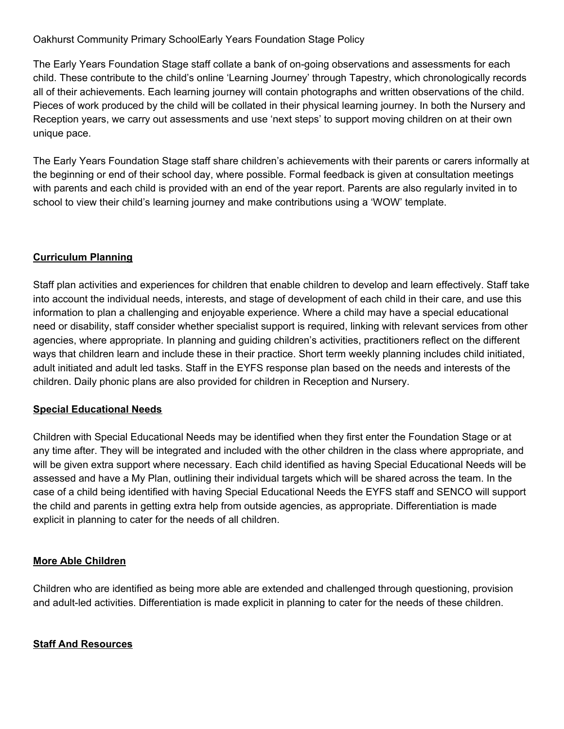The Early Years Foundation Stage staff collate a bank of on-going observations and assessments for each child. These contribute to the child's online 'Learning Journey' through Tapestry, which chronologically records all of their achievements. Each learning journey will contain photographs and written observations of the child. Pieces of work produced by the child will be collated in their physical learning journey. In both the Nursery and Reception years, we carry out assessments and use 'next steps' to support moving children on at their own unique pace.

The Early Years Foundation Stage staff share children's achievements with their parents or carers informally at the beginning or end of their school day, where possible. Formal feedback is given at consultation meetings with parents and each child is provided with an end of the year report. Parents are also regularly invited in to school to view their child's learning journey and make contributions using a 'WOW' template.

## **Curriculum Planning**

Staff plan activities and experiences for children that enable children to develop and learn effectively. Staff take into account the individual needs, interests, and stage of development of each child in their care, and use this information to plan a challenging and enjoyable experience. Where a child may have a special educational need or disability, staff consider whether specialist support is required, linking with relevant services from other agencies, where appropriate. In planning and guiding children's activities, practitioners reflect on the different ways that children learn and include these in their practice. Short term weekly planning includes child initiated, adult initiated and adult led tasks. Staff in the EYFS response plan based on the needs and interests of the children. Daily phonic plans are also provided for children in Reception and Nursery.

## **Special Educational Needs**

Children with Special Educational Needs may be identified when they first enter the Foundation Stage or at any time after. They will be integrated and included with the other children in the class where appropriate, and will be given extra support where necessary. Each child identified as having Special Educational Needs will be assessed and have a My Plan, outlining their individual targets which will be shared across the team. In the case of a child being identified with having Special Educational Needs the EYFS staff and SENCO will support the child and parents in getting extra help from outside agencies, as appropriate. Differentiation is made explicit in planning to cater for the needs of all children.

## **More Able Children**

Children who are identified as being more able are extended and challenged through questioning, provision and adult-led activities. Differentiation is made explicit in planning to cater for the needs of these children.

## **Staff And Resources**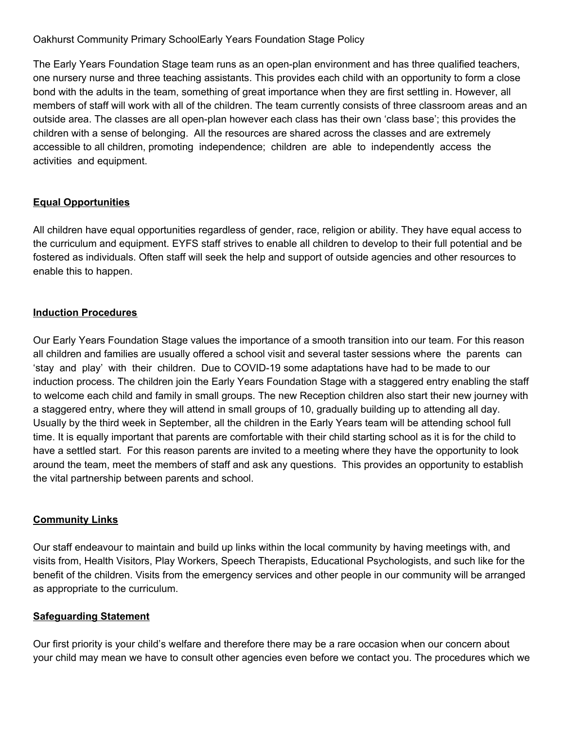The Early Years Foundation Stage team runs as an open-plan environment and has three qualified teachers, one nursery nurse and three teaching assistants. This provides each child with an opportunity to form a close bond with the adults in the team, something of great importance when they are first settling in. However, all members of staff will work with all of the children. The team currently consists of three classroom areas and an outside area. The classes are all open-plan however each class has their own 'class base'; this provides the children with a sense of belonging. All the resources are shared across the classes and are extremely accessible to all children, promoting independence; children are able to independently access the activities and equipment.

## **Equal Opportunities**

All children have equal opportunities regardless of gender, race, religion or ability. They have equal access to the curriculum and equipment. EYFS staff strives to enable all children to develop to their full potential and be fostered as individuals. Often staff will seek the help and support of outside agencies and other resources to enable this to happen.

## **Induction Procedures**

Our Early Years Foundation Stage values the importance of a smooth transition into our team. For this reason all children and families are usually offered a school visit and several taster sessions where the parents can 'stay and play' with their children. Due to COVID-19 some adaptations have had to be made to our induction process. The children join the Early Years Foundation Stage with a staggered entry enabling the staff to welcome each child and family in small groups. The new Reception children also start their new journey with a staggered entry, where they will attend in small groups of 10, gradually building up to attending all day. Usually by the third week in September, all the children in the Early Years team will be attending school full time. It is equally important that parents are comfortable with their child starting school as it is for the child to have a settled start. For this reason parents are invited to a meeting where they have the opportunity to look around the team, meet the members of staff and ask any questions. This provides an opportunity to establish the vital partnership between parents and school.

## **Community Links**

Our staff endeavour to maintain and build up links within the local community by having meetings with, and visits from, Health Visitors, Play Workers, Speech Therapists, Educational Psychologists, and such like for the benefit of the children. Visits from the emergency services and other people in our community will be arranged as appropriate to the curriculum.

## **Safeguarding Statement**

Our first priority is your child's welfare and therefore there may be a rare occasion when our concern about your child may mean we have to consult other agencies even before we contact you. The procedures which we